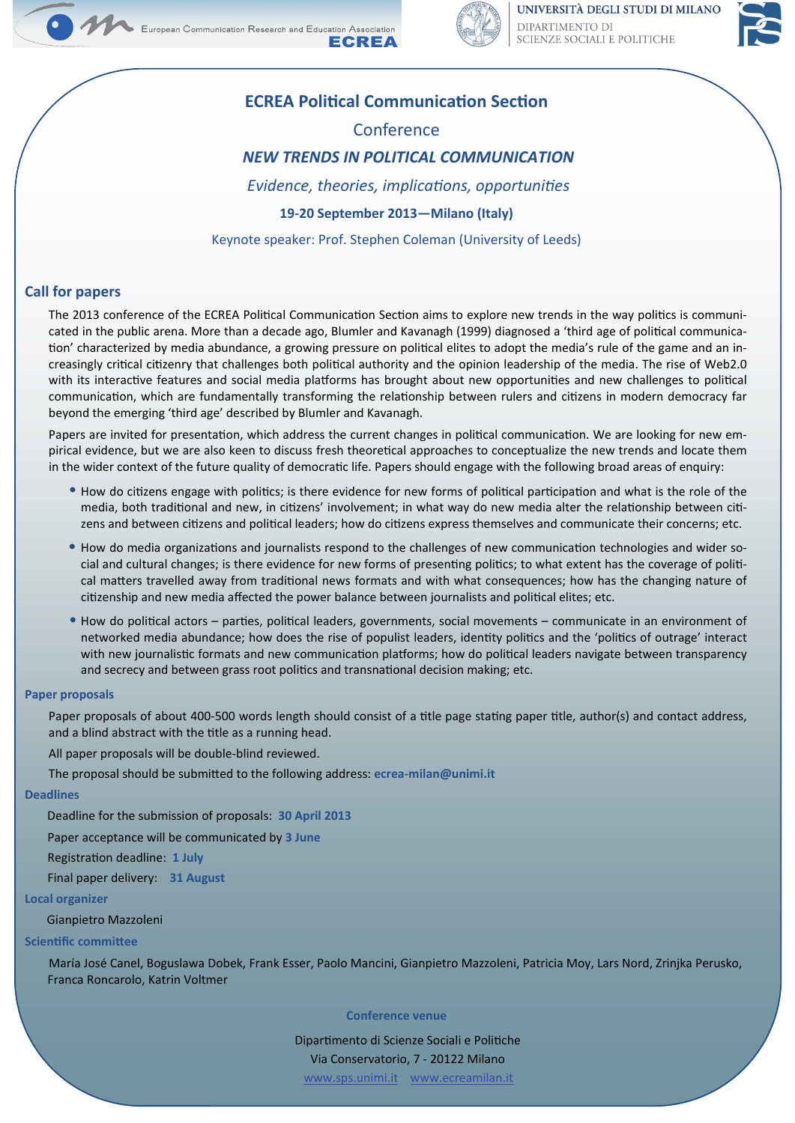



UNIVERSITÀ DEGLI STUDI DI MILANO DIPARTIMENTO DI SCIENZE SOCIALI E POLITICHE



# **ECREA Political Communication Section**

# Conference

# *NEW TRENDS IN POLITICAL COMMUNICATION*

*Evidence, theories, implications, opportunities* 

## **19‐20 September 2013—Milano (Italy)**

Keynote speaker: Prof. Stephen Coleman (University of Leeds)

## **Call for papers**

The 2013 conference of the ECREA Political Communication Section aims to explore new trends in the way politics is communicated in the public arena. More than a decade ago, Blumler and Kavanagh (1999) diagnosed a 'third age of political communication' characterized by media abundance, a growing pressure on political elites to adopt the media's rule of the game and an increasingly critical citizenry that challenges both political authority and the opinion leadership of the media. The rise of Web2.0 with its interactive features and social media platforms has brought about new opportunities and new challenges to political communication, which are fundamentally transforming the relationship between rulers and citizens in modern democracy far beyond the emerging 'third age' described by Blumler and Kavanagh.

Papers are invited for presentation, which address the current changes in political communication. We are looking for new empirical evidence, but we are also keen to discuss fresh theoretical approaches to conceptualize the new trends and locate them in the wider context of the future quality of democratic life. Papers should engage with the following broad areas of enquiry:

- How do citizens engage with politics; is there evidence for new forms of political participation and what is the role of the media, both traditional and new, in citizens' involvement; in what way do new media alter the relationship between citizens and between citizens and political leaders; how do citizens express themselves and communicate their concerns; etc.
- $\bullet$  How do media organizations and journalists respond to the challenges of new communication technologies and wider social and cultural changes; is there evidence for new forms of presenting politics; to what extent has the coverage of political matters travelled away from traditional news formats and with what consequences; how has the changing nature of citizenship and new media affected the power balance between journalists and political elites; etc.
- $\bullet$  How do political actors parties, political leaders, governments, social movements communicate in an environment of networked media abundance; how does the rise of populist leaders, identity politics and the 'politics of outrage' interact with new journalistic formats and new communication platforms; how do political leaders navigate between transparency and secrecy and between grass root politics and transnational decision making; etc.

### **Paper proposals**

Paper proposals of about 400-500 words length should consist of a title page stating paper title, author(s) and contact address, and a blind abstract with the title as a running head.

All paper proposals will be double-blind reviewed.

The proposal should be submiƩed to the following address: **ecrea‐milan@unimi.it**

#### **Deadlines**

Deadline for the submission of proposals: **30 April 2013**

Paper acceptance will be communicated by **3 June**

RegistraƟon deadline: **1 July**

Final paper delivery: **31 August**

#### **Local organizer**

Gianpietro Mazzoleni

#### **Scientific committee**

María José Canel, Boguslawa Dobek, Frank Esser, Paolo Mancini, Gianpietro Mazzoleni, Patricia Moy, Lars Nord, Zrinjka Perusko, Franca Roncarolo, Katrin Voltmer

### **Conference venue**

Dipartimento di Scienze Sociali e Politiche Via Conservatorio, 7 - 20122 Milano www.sps.unimi.it www.ecreamilan.it